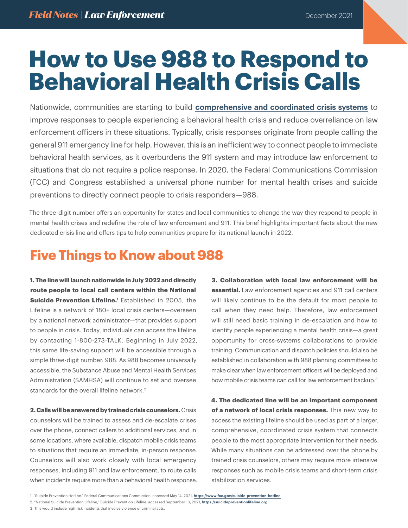## **How to Use 988 to Respond to Behavioral Health Crisis Calls**

Nationwide, communities are starting to build **[comprehensive and coordinated crisis systems](https://csgjusticecenter.org/publications/building-a-comprehensive-and-coordinated-crisis-system/)** to improve responses to people experiencing a behavioral health crisis and reduce overreliance on law enforcement oficers in these situations. Typically, crisis responses originate from people calling the general 911 emergency line for help. However, this is an ineficient way to connect people to immediate behavioral health services, as it overburdens the 911 system and may introduce law enforcement to situations that do not require a police response. In 2020, the Federal Communications Commission (FCC) and Congress established a universal phone number for mental health crises and suicide preventions to directly connect people to crisis responders—988.

The three-digit number ofers an opportunity for states and local communities to change the way they respond to people in mental health crises and redefine the role of law enforcement and 911. This brief highlights important facts about the new dedicated crisis line and offers tips to help communities prepare for its national launch in 2022.

## **Five Things to Know about 988**

**1. The line will launch nationwide in July 2022 and directly route people to local call centers within the National Suicide Prevention Lifeline.<sup>1</sup>** Established in 2005, the Lifeline is a network of 180+ local crisis centers—overseen by a national network administrator—that provides support to people in crisis. Today, individuals can access the lifeline by contacting 1-800-273-TALK. Beginning in July 2022, this same life-saving support will be accessible through a simple three-digit number: 988. As 988 becomes universally accessible, the Substance Abuse and Mental Health Services Administration (SAMHSA) will continue to set and oversee standards for the overall lifeline network.<sup>2</sup>

**2. Calls will be answered by trained crisis counselors.** Crisis counselors will be trained to assess and de-escalate crises over the phone, connect callers to additional services, and in some locations, where available, dispatch mobile crisis teams to situations that require an immediate, in-person response. Counselors will also work closely with local emergency responses, including 911 and law enforcement, to route calls when incidents require more than a behavioral health response. **3. Collaboration with local law enforcement will be essential.** Law enforcement agencies and 911 call centers will likely continue to be the default for most people to call when they need help. Therefore, law enforcement will still need basic training in de-escalation and how to identify people experiencing a mental health crisis—a great opportunity for cross-systems collaborations to provide training. Communication and dispatch policies should also be established in collaboration with 988 planning committees to make clear when law enforcement oficers will be deployed and how mobile crisis teams can call for law enforcement backup.<sup>3</sup>

**4. The dedicated line will be an important component of a network of local crisis responses.** This new way to access the existing lifeline should be used as part of a larger, comprehensive, coordinated crisis system that connects people to the most appropriate intervention for their needs. While many situations can be addressed over the phone by trained crisis counselors, others may require more intensive responses such as mobile crisis teams and short-term crisis stabilization services.

<sup>1. &</sup>quot;Suicide Prevention Hotline," Federal Communications Commission, accessed May 14, 2021, **<https://www.fcc.gov/suicide-prevention-hotline>**.

<sup>2. &</sup>quot;National Suicide Prevention Lifeline," Suicide Prevention Lifeline, accessed September 13, 2021, **[https://suicidepreventionlifeline.org.](https://suicidepreventionlifeline.org)** 

<sup>3.</sup> This would include high-risk incidents that involve violence or criminal acts.